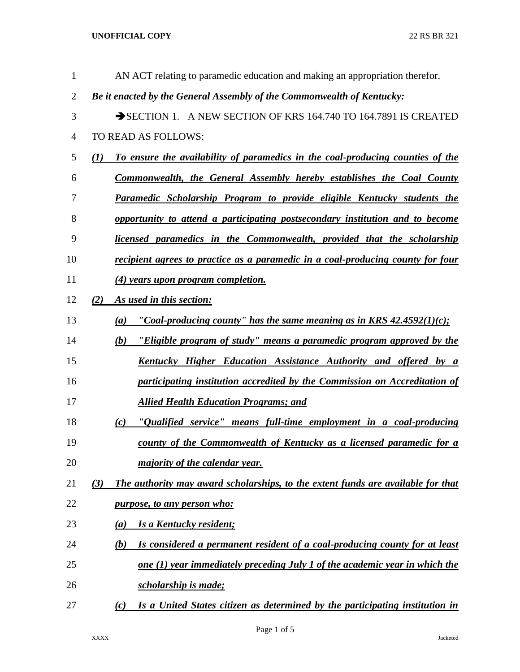**UNOFFICIAL COPY** 22 RS BR 321

| $\mathbf{1}$   | AN ACT relating to paramedic education and making an appropriation therefor.            |
|----------------|-----------------------------------------------------------------------------------------|
| $\overline{2}$ | Be it enacted by the General Assembly of the Commonwealth of Kentucky:                  |
| 3              | SECTION 1. A NEW SECTION OF KRS 164.740 TO 164.7891 IS CREATED                          |
| $\overline{4}$ | TO READ AS FOLLOWS:                                                                     |
| 5              | To ensure the availability of paramedics in the coal-producing counties of the<br>(I)   |
| 6              | <b>Commonwealth, the General Assembly hereby establishes the Coal County</b>            |
| 7              | Paramedic Scholarship Program to provide eligible Kentucky students the                 |
| 8              | opportunity to attend a participating postsecondary institution and to become           |
| 9              | licensed paramedics in the Commonwealth, provided that the scholarship                  |
| 10             | recipient agrees to practice as a paramedic in a coal-producing county for four         |
| 11             | (4) years upon program completion.                                                      |
| 12             | (2)<br>As used in this section:                                                         |
| 13             | "Coal-producing county" has the same meaning as in KRS $42.4592(1)(c)$ ;<br>(a)         |
| 14             | "Eligible program of study" means a paramedic program approved by the<br>(b)            |
| 15             | <u>Kentucky Higher Education Assistance Authority and offered by a</u>                  |
| 16             | participating institution accredited by the Commission on Accreditation of              |
| 17             | <b>Allied Health Education Programs; and</b>                                            |
| 18             | "Qualified service" means full-time employment in a coal-producing<br>(c)               |
| 19             | county of the Commonwealth of Kentucky as a licensed paramedic for a                    |
| 20             | majority of the calendar year.                                                          |
| 21             | (3)<br>The authority may award scholarships, to the extent funds are available for that |
| 22             | <i>purpose, to any person who:</i>                                                      |
| 23             | <b>Is a Kentucky resident;</b><br>(a)                                                   |
| 24             | Is considered a permanent resident of a coal-producing county for at least<br>(b)       |
| 25             | one (1) year immediately preceding July 1 of the academic year in which the             |
| 26             | scholarship is made;                                                                    |
| 27             | Is a United States citizen as determined by the participating institution in<br>(c)     |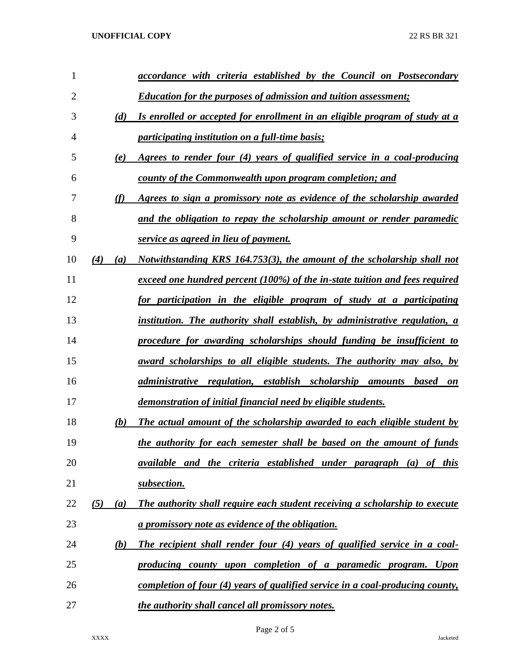| 1              |     |     | accordance with criteria established by the Council on Postsecondary           |
|----------------|-----|-----|--------------------------------------------------------------------------------|
| $\overline{2}$ |     |     | <b>Education for the purposes of admission and tuition assessment;</b>         |
| 3              |     | (d) | Is enrolled or accepted for enrollment in an eligible program of study at a    |
| 4              |     |     | <i>participating institution on a full-time basis;</i>                         |
| 5              |     | (e) | Agrees to render four (4) years of qualified service in a coal-producing       |
| 6              |     |     | county of the Commonwealth upon program completion; and                        |
| 7              |     | (f) | Agrees to sign a promissory note as evidence of the scholarship awarded        |
| 8              |     |     | and the obligation to repay the scholarship amount or render paramedic         |
| 9              |     |     | service as agreed in lieu of payment.                                          |
| 10             | (4) | (a) | Notwithstanding KRS 164.753(3), the amount of the scholarship shall not        |
| 11             |     |     | exceed one hundred percent (100%) of the in-state tuition and fees required    |
| 12             |     |     | for participation in the eligible program of study at a participating          |
| 13             |     |     | institution. The authority shall establish, by administrative regulation, a    |
| 14             |     |     | procedure for awarding scholarships should funding be insufficient to          |
| 15             |     |     | <i>award scholarships to all eligible students. The authority may also, by</i> |
| 16             |     |     | administrative regulation, establish scholarship amounts based on              |
| 17             |     |     | demonstration of initial financial need by eligible students.                  |
| 18             |     | (b) | The actual amount of the scholarship awarded to each eligible student by       |
| 19             |     |     | the authority for each semester shall be based on the amount of funds          |
| 20             |     |     | available and the criteria established under paragraph (a) of this             |
| 21             |     |     | subsection.                                                                    |
| 22             | (5) | (a) | The authority shall require each student receiving a scholarship to execute    |
| 23             |     |     | a promissory note as evidence of the obligation.                               |
| 24             |     | (b) | The recipient shall render four (4) years of qualified service in a coal-      |
| 25             |     |     | producing county upon completion of a paramedic program. Upon                  |
| 26             |     |     | completion of four (4) years of qualified service in a coal-producing county,  |
| 27             |     |     | the authority shall cancel all promissory notes.                               |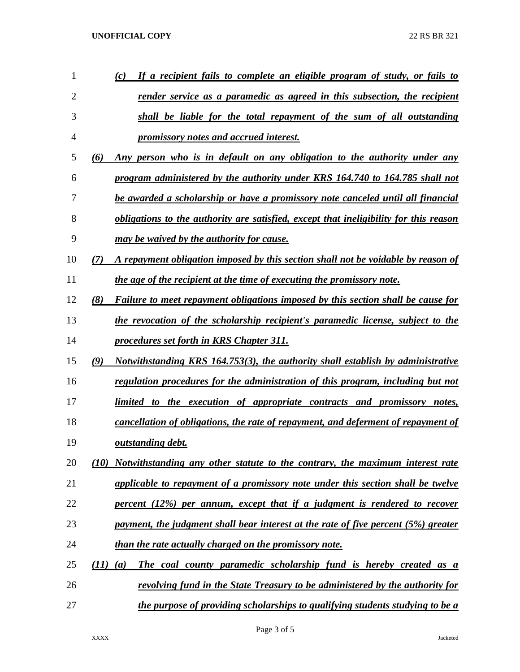## **UNOFFICIAL COPY** 22 RS BR 321

| 1  | If a recipient fails to complete an eligible program of study, or fails to<br>(c)              |
|----|------------------------------------------------------------------------------------------------|
| 2  | <u>render service as a paramedic as agreed in this subsection, the recipient</u>               |
| 3  | shall be liable for the total repayment of the sum of all outstanding                          |
| 4  | <i><u><b>promissory notes and accrued interest.</b></u></i>                                    |
| 5  | Any person who is in default on any obligation to the authority under any<br>(6)               |
| 6  | program administered by the authority under KRS 164.740 to 164.785 shall not                   |
| 7  | be awarded a scholarship or have a promissory note canceled until all financial                |
| 8  | obligations to the authority are satisfied, except that ineligibility for this reason          |
| 9  | may be waived by the authority for cause.                                                      |
| 10 | A repayment obligation imposed by this section shall not be voidable by reason of<br>(7)       |
| 11 | the age of the recipient at the time of executing the promissory note.                         |
| 12 | (8)<br><b>Failure to meet repayment obligations imposed by this section shall be cause for</b> |
| 13 | the revocation of the scholarship recipient's paramedic license, subject to the                |
| 14 | procedures set forth in KRS Chapter 311.                                                       |
| 15 | Notwithstanding KRS 164.753(3), the authority shall establish by administrative<br>(9)         |
| 16 | regulation procedures for the administration of this program, including but not                |
| 17 | limited to the execution of appropriate contracts and promissory notes,                        |
| 18 | cancellation of obligations, the rate of repayment, and deferment of repayment of              |
| 19 | outstanding debt.                                                                              |
| 20 | Notwithstanding any other statute to the contrary, the maximum interest rate<br>(10)           |
| 21 | applicable to repayment of a promissory note under this section shall be twelve                |
| 22 | percent (12%) per annum, except that if a judgment is rendered to recover                      |
| 23 | payment, the judgment shall bear interest at the rate of five percent (5%) greater             |
| 24 | than the rate actually charged on the promissory note.                                         |
| 25 | The coal county paramedic scholarship fund is hereby created as a<br>(11)<br>(a)               |
| 26 | revolving fund in the State Treasury to be administered by the authority for                   |
| 27 | the purpose of providing scholarships to qualifying students studying to be a                  |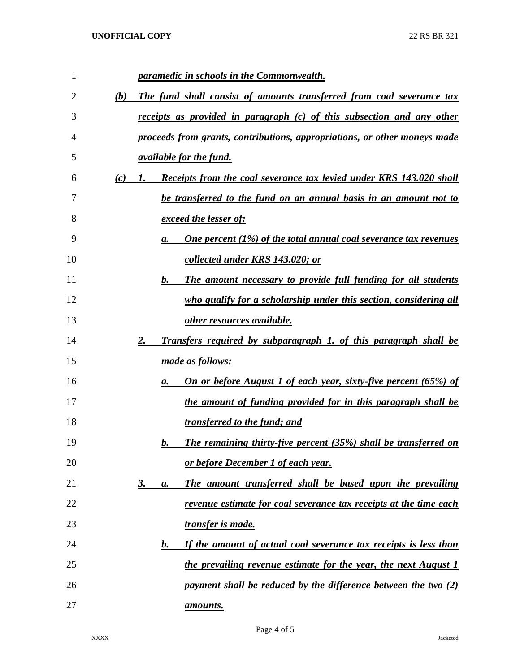| 1  |     | paramedic in schools in the Commonwealth.                                             |
|----|-----|---------------------------------------------------------------------------------------|
| 2  | (b) | The fund shall consist of amounts transferred from coal severance tax                 |
| 3  |     | <u>receipts as provided in paragraph (c) of this subsection and any other</u>         |
| 4  |     | proceeds from grants, contributions, appropriations, or other moneys made             |
| 5  |     | <i>available for the fund.</i>                                                        |
| 6  | (c) | Receipts from the coal severance tax levied under KRS 143.020 shall<br>$\mathbf{I}$ . |
| 7  |     | be transferred to the fund on an annual basis in an amount not to                     |
| 8  |     | exceed the lesser of:                                                                 |
| 9  |     | One percent $(1\%)$ of the total annual coal severance tax revenues<br>a.             |
| 10 |     | collected under KRS 143.020; or                                                       |
| 11 |     | The amount necessary to provide full funding for all students<br>$\bm{b}$ .           |
| 12 |     | who qualify for a scholarship under this section, considering all                     |
| 13 |     | other resources available.                                                            |
| 14 |     | <b>Transfers required by subparagraph 1. of this paragraph shall be</b><br>2.         |
| 15 |     | made as follows:                                                                      |
| 16 |     | <b>On or before August 1 of each year, sixty-five percent (65%) of</b><br>а.          |
| 17 |     | the amount of funding provided for in this paragraph shall be                         |
| 18 |     | transferred to the fund; and                                                          |
| 19 |     | <b>The remaining thirty-five percent (35%) shall be transferred on</b><br>b.          |
| 20 |     | or before December 1 of each year.                                                    |
| 21 |     | The amount transferred shall be based upon the prevailing<br><u>3.</u><br>а.          |
| 22 |     | revenue estimate for coal severance tax receipts at the time each                     |
| 23 |     | transfer is made.                                                                     |
| 24 |     | If the amount of actual coal severance tax receipts is less than<br>$\bm{b}$ .        |
| 25 |     | the prevailing revenue estimate for the year, the next August 1                       |
| 26 |     | payment shall be reduced by the difference between the two (2)                        |
| 27 |     | amounts.                                                                              |